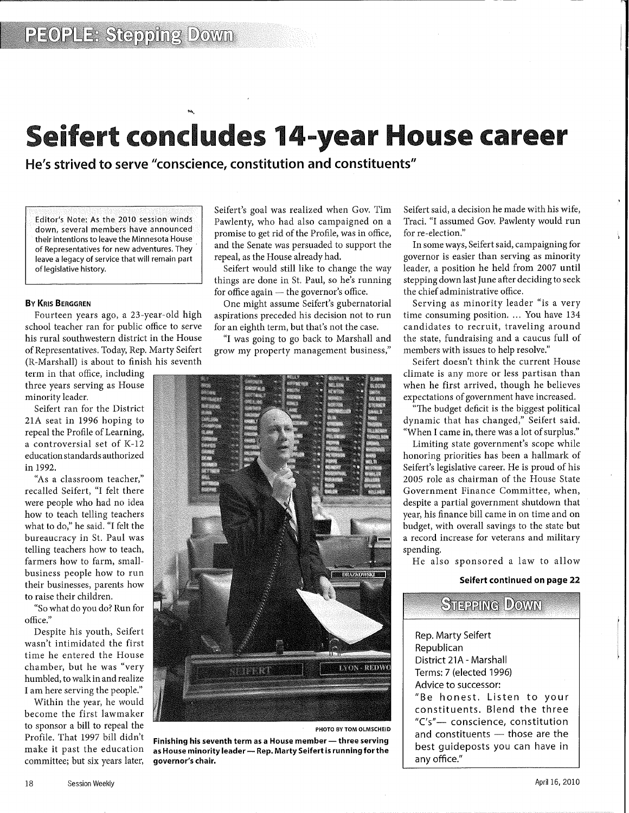# Seifert concludes 14-year House career

He's strived to serve "conscience, constitution and constituents"

Editor's Note: As the 2010 session winds down, several members have announced their intentions to leave the Minnesota House of Representatives for new adventures. They leave a legacy of service that will remain part of legislative history.

## By KRIS BERGGREN

Fourteen years ago, a 23-year-old high school teacher ran for public office to serve his rural southwestern district in the House of Representatives. Today, Rep. Marty Seifert (R-Marshall) is about to finish his seventh

term in that office, including three years serving as House minority leader.

Seifert ran for the District 21A seat in 1996 hoping to repeal the Profile of Learning, a controversial set of K-12 education standards authorized in 1992.

"As a classroom teacher," recalled Seifert, "I felt there were people who had no idea how to teach telling teachers what to do," he said. "I felt the bureaucracy in St. Paul was telling teachers how to teach, farmers how to farm, smallbusiness people how to run their businesses, parents how to raise their children.

"So what do you do? Run for office."

Despite his youth, Seifert wasn't intimidated the first time he entered the House chamber, but he was "very humbled, to walk in and realize I am here serving the people."

Within the year, he would become the first lawmaker to sponsor a bill to repeal the Profile. That 1997 bill didn't make it past the education committee; but six years later, Seifert's goal was realized when Gov. Tim Pawlenty, who had also campaigned on a promise to get rid of the Profile, was in office, and the Senate was persuaded to support the repeal, as the House already had.

Seifert would still like to change the way things are done in St. Paul, so he's running for office again  $-$  the governor's office.

One might assume Seifert's gubernatorial aspirations preceded his decision not to run for an eighth term, but that's not the case.

"I was going to go back to Marshall and grow my property management business,"



PHOTO BY TOM OLMSCHEID

Finishing his seventh term as a House member  $-$  three serving as House minority leader - Rep. Marty Seifert is running for the governor's chair.

Seifert said, a decision he made with his wife, Traci. "I assumed Gov. Pawlenty would run for re-election."

In some ways, Seifert said, campaigning for governor is easier than serving as minority leader, a position he held from 2007 until stepping down last June after deciding to seek the chief administrative office.

Serving as minority leader "is a very time consuming position.... You have 134 candidates to recruit, traveling around the state, fundraising and a caucus full of members with issues to help resolve."

Seifert doesn't think the current House climate is any more or less partisan than when he first arrived, though he believes expectations of government have increased.

"The budget deficit is the biggest political dynamic that has changed," Seifert said. "When I came in, there was a lot of surplus."

Limiting state government's scope while honoring priorities has been a hallmark of Seifert's legislative career. He is proud of his 2005 role as chairman of the House State Government Finance Committee, when, despite a partial government shutdown that year, his finance bill came in on time and on budget, with overall savings to the state but a record increase for veterans and military spending.

He also sponsored a law to allow

# Seifert continued on page 22

| <b>STEPPING DOWN</b>                                                                                                                                    |
|---------------------------------------------------------------------------------------------------------------------------------------------------------|
| Rep. Marty Seifert<br>Republican<br>District 21A - Marshall<br>Terms: 7 (elected 1996)<br>Advice to successor:<br>"Be honest. Listen to your            |
| constituents. Blend the three<br>"C's"— conscience, constitution<br>and constituents - those are the<br>best guideposts you can have in<br>any office." |